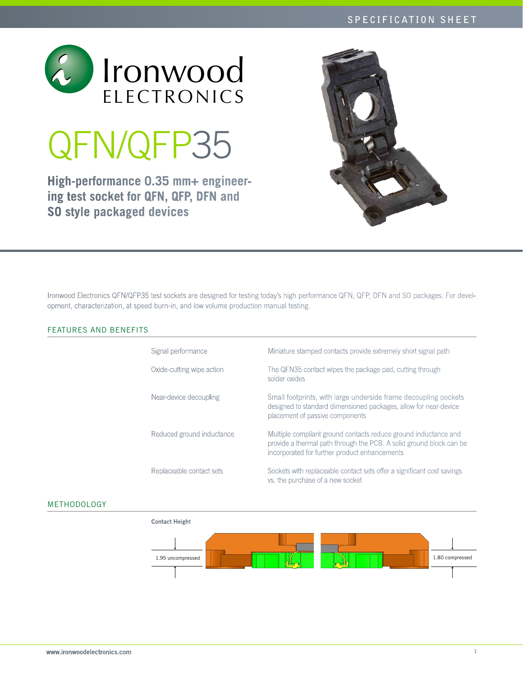

# QFN/QFP35

**High-performance 0.35 mm+ engineering test socket for QFN, QFP, DFN and SO style packaged devices**



Ironwood Electronics QFN/QFP35 test sockets are designed for testing today's high performance QFN, QFP, DFN and SO packages. For development, characterization, at speed burn-in, and low volume production manual testing.

# FEATURES AND BENEFITS

| Signal performance        | Miniature stamped contacts provide extremely short signal path                                                                                                                          |
|---------------------------|-----------------------------------------------------------------------------------------------------------------------------------------------------------------------------------------|
| Oxide-cutting wipe action | The QFN35 contact wipes the package pad, cutting through<br>solder oxides                                                                                                               |
| Near-device decoupling    | Small footprints, with large underside frame decoupling pockets<br>designed to standard dimensioned packages, allow for near-device<br>placement of passive components                  |
| Reduced ground inductance | Multiple compliant ground contacts reduce ground inductance and<br>provide a thermal path through the PCB. A solid ground block can be<br>incorporated for further product enhancements |
| Replaceable contact sets  | Sockets with replaceable contact sets offer a significant cost savings<br>vs. the purchase of a new socket                                                                              |

# Methodology

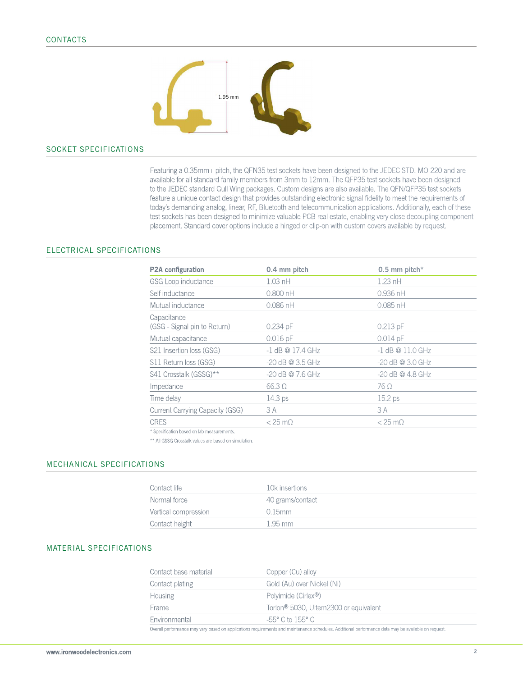

### Socket SPECIFICATIONS

Featuring a 0.35mm+ pitch, the QFN35 test sockets have been designed to the JEDEC STD. MO-220 and are available for all standard family members from 3mm to 12mm. The QFP35 test sockets have been designed to the JEDEC standard Gull Wing packages. Custom designs are also available. The QFN/QFP35 test sockets feature a unique contact design that provides outstanding electronic signal fidelity to meet the requirements of today's demanding analog, linear, RF, Bluetooth and telecommunication applications. Additionally, each of these test sockets has been designed to minimize valuable PCB real estate, enabling very close decoupling component placement. Standard cover options include a hinged or clip-on with custom covers available by request.

#### Electrical SPECIFICATIONS

| P2A configuration                           | 0.4 mm pitch       | 0.5 mm pitch*      |
|---------------------------------------------|--------------------|--------------------|
| GSG Loop inductance                         | $1.03$ nH          | $1.23$ nH          |
| Self inductance                             | $0.800$ nH         | $0.936$ nH         |
| Mutual inductance                           | $0.086$ nH         | $0.085$ nH         |
| Capacitance<br>(GSG - Signal pin to Return) | $0.234$ pF         | $0.213$ pF         |
| Mutual capacitance                          | $0.016$ pF         | $0.014$ pF         |
| S21 Insertion loss (GSG)                    | $-1$ dB @ 17.4 GHz | $-1$ dB @ 11.0 GHz |
| S11 Return loss (GSG)                       | $-20$ dB @ 3.5 GHz | $-20$ dB @ 3.0 GHz |
| S41 Crosstalk (GSSG)**                      | -20 dB @ 7.6 GHz   | $-20$ dB @ 4.8 GHz |
| Impedance                                   | $66.3 \Omega$      | 76 Ω               |
| Time delay                                  | 14.3 ps            | 15.2 ps            |
| <b>Current Carrying Capacity (GSG)</b>      | 3 A                | 3 A                |
| <b>CRES</b>                                 | $<$ 25 m $\Omega$  | $<$ 25 m $\Omega$  |
|                                             |                    |                    |

\* Specification based on lab measurements.

\*\* All GSSG Crosstalk values are based on simulation.

#### MECHANICAL SPECIFICATIONS

| Contact life         | 10k insertions   |
|----------------------|------------------|
| Normal force         | 40 grams/contact |
| Vertical compression | $0.15$ mm        |
| Contact height       | 1 95 mm          |

#### MATERIAL SPECIFICATIONS

| Contact base material | Copper (Cu) alloy                                 |  |
|-----------------------|---------------------------------------------------|--|
| Contact plating       | Gold (Au) over Nickel (Ni)                        |  |
| <b>Housing</b>        | Polyimide (Cirlex <sup>®</sup> )                  |  |
| Frame                 | Torlon <sup>®</sup> 5030, Ultem2300 or equivalent |  |
| Environmental         | $-55^{\circ}$ C to 155° C.                        |  |

Overall performance may vary based on applications requirements and maintenance schedules. Additional performance data may be available on request.